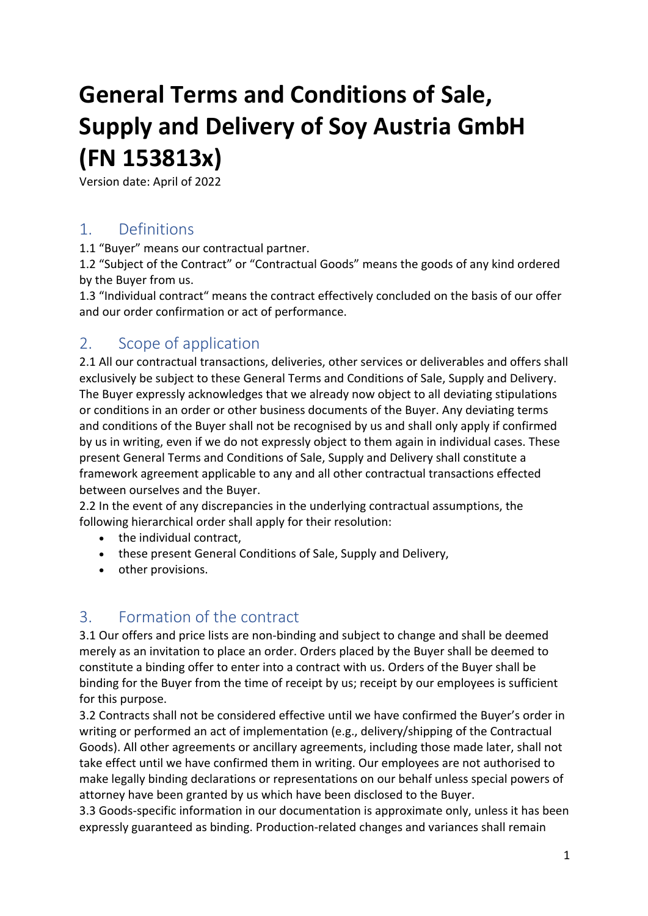# **General Terms and Conditions of Sale, Supply and Delivery of Soy Austria GmbH (FN 153813x)**

Version date: April of 2022

#### 1. Definitions

1.1 "Buyer" means our contractual partner.

1.2 "Subject of the Contract" or "Contractual Goods" means the goods of any kind ordered by the Buyer from us.

1.3 "Individual contract" means the contract effectively concluded on the basis of our offer and our order confirmation or act of performance.

#### 2. Scope of application

2.1 All our contractual transactions, deliveries, other services or deliverables and offers shall exclusively be subject to these General Terms and Conditions of Sale, Supply and Delivery. The Buyer expressly acknowledges that we already now object to all deviating stipulations or conditions in an order or other business documents of the Buyer. Any deviating terms and conditions of the Buyer shall not be recognised by us and shall only apply if confirmed by us in writing, even if we do not expressly object to them again in individual cases. These present General Terms and Conditions of Sale, Supply and Delivery shall constitute a framework agreement applicable to any and all other contractual transactions effected between ourselves and the Buyer.

2.2 In the event of any discrepancies in the underlying contractual assumptions, the following hierarchical order shall apply for their resolution:

- the individual contract,
- these present General Conditions of Sale, Supply and Delivery,
- other provisions.

#### 3. Formation of the contract

3.1 Our offers and price lists are non-binding and subject to change and shall be deemed merely as an invitation to place an order. Orders placed by the Buyer shall be deemed to constitute a binding offer to enter into a contract with us. Orders of the Buyer shall be binding for the Buyer from the time of receipt by us; receipt by our employees is sufficient for this purpose.

3.2 Contracts shall not be considered effective until we have confirmed the Buyer's order in writing or performed an act of implementation (e.g., delivery/shipping of the Contractual Goods). All other agreements or ancillary agreements, including those made later, shall not take effect until we have confirmed them in writing. Our employees are not authorised to make legally binding declarations or representations on our behalf unless special powers of attorney have been granted by us which have been disclosed to the Buyer.

3.3 Goods-specific information in our documentation is approximate only, unless it has been expressly guaranteed as binding. Production-related changes and variances shall remain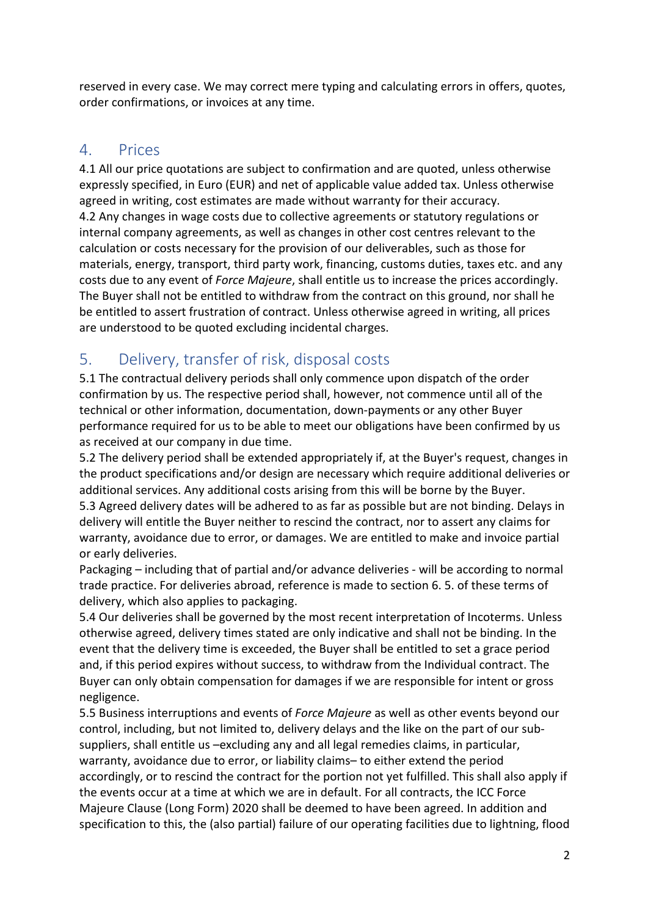reserved in every case. We may correct mere typing and calculating errors in offers, quotes, order confirmations, or invoices at any time.

#### 4. Prices

4.1 All our price quotations are subject to confirmation and are quoted, unless otherwise expressly specified, in Euro (EUR) and net of applicable value added tax. Unless otherwise agreed in writing, cost estimates are made without warranty for their accuracy. 4.2 Any changes in wage costs due to collective agreements or statutory regulations or internal company agreements, as well as changes in other cost centres relevant to the calculation or costs necessary for the provision of our deliverables, such as those for materials, energy, transport, third party work, financing, customs duties, taxes etc. and any costs due to any event of *Force Majeure*, shall entitle us to increase the prices accordingly. The Buyer shall not be entitled to withdraw from the contract on this ground, nor shall he be entitled to assert frustration of contract. Unless otherwise agreed in writing, all prices are understood to be quoted excluding incidental charges.

# 5. Delivery, transfer of risk, disposal costs

5.1 The contractual delivery periods shall only commence upon dispatch of the order confirmation by us. The respective period shall, however, not commence until all of the technical or other information, documentation, down-payments or any other Buyer performance required for us to be able to meet our obligations have been confirmed by us as received at our company in due time.

5.2 The delivery period shall be extended appropriately if, at the Buyer's request, changes in the product specifications and/or design are necessary which require additional deliveries or additional services. Any additional costs arising from this will be borne by the Buyer. 5.3 Agreed delivery dates will be adhered to as far as possible but are not binding. Delays in delivery will entitle the Buyer neither to rescind the contract, nor to assert any claims for warranty, avoidance due to error, or damages. We are entitled to make and invoice partial or early deliveries.

Packaging – including that of partial and/or advance deliveries - will be according to normal trade practice. For deliveries abroad, reference is made to section 6. 5. of these terms of delivery, which also applies to packaging.

5.4 Our deliveries shall be governed by the most recent interpretation of Incoterms. Unless otherwise agreed, delivery times stated are only indicative and shall not be binding. In the event that the delivery time is exceeded, the Buyer shall be entitled to set a grace period and, if this period expires without success, to withdraw from the Individual contract. The Buyer can only obtain compensation for damages if we are responsible for intent or gross negligence.

5.5 Business interruptions and events of *Force Majeure* as well as other events beyond our control, including, but not limited to, delivery delays and the like on the part of our subsuppliers, shall entitle us –excluding any and all legal remedies claims, in particular, warranty, avoidance due to error, or liability claims– to either extend the period accordingly, or to rescind the contract for the portion not yet fulfilled. This shall also apply if the events occur at a time at which we are in default. For all contracts, the ICC Force Majeure Clause (Long Form) 2020 shall be deemed to have been agreed. In addition and specification to this, the (also partial) failure of our operating facilities due to lightning, flood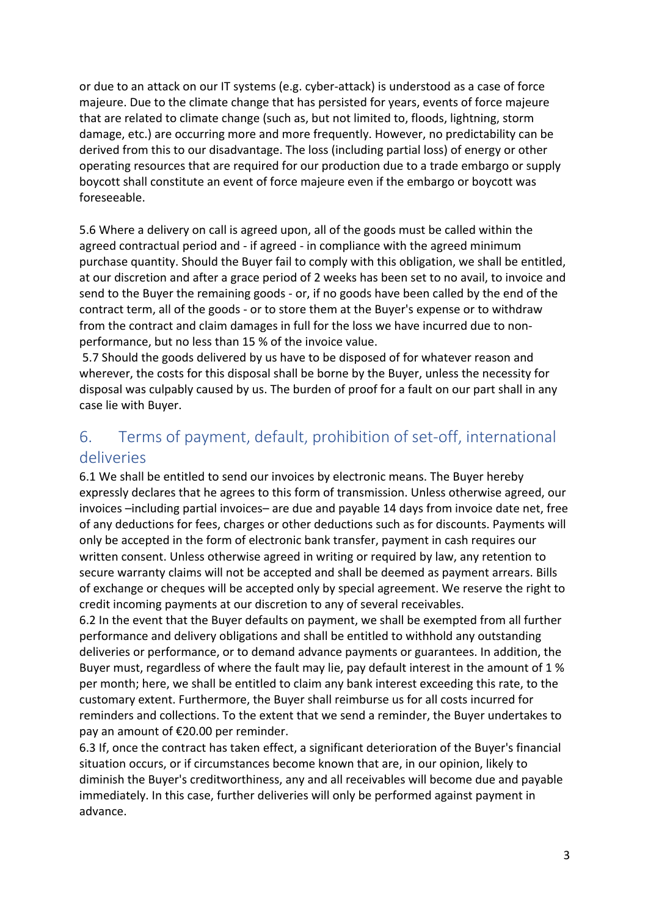or due to an attack on our IT systems (e.g. cyber-attack) is understood as a case of force majeure. Due to the climate change that has persisted for years, events of force majeure that are related to climate change (such as, but not limited to, floods, lightning, storm damage, etc.) are occurring more and more frequently. However, no predictability can be derived from this to our disadvantage. The loss (including partial loss) of energy or other operating resources that are required for our production due to a trade embargo or supply boycott shall constitute an event of force majeure even if the embargo or boycott was foreseeable.

5.6 Where a delivery on call is agreed upon, all of the goods must be called within the agreed contractual period and - if agreed - in compliance with the agreed minimum purchase quantity. Should the Buyer fail to comply with this obligation, we shall be entitled, at our discretion and after a grace period of 2 weeks has been set to no avail, to invoice and send to the Buyer the remaining goods - or, if no goods have been called by the end of the contract term, all of the goods - or to store them at the Buyer's expense or to withdraw from the contract and claim damages in full for the loss we have incurred due to nonperformance, but no less than 15 % of the invoice value.

5.7 Should the goods delivered by us have to be disposed of for whatever reason and wherever, the costs for this disposal shall be borne by the Buyer, unless the necessity for disposal was culpably caused by us. The burden of proof for a fault on our part shall in any case lie with Buyer.

### 6. Terms of payment, default, prohibition of set-off, international deliveries

6.1 We shall be entitled to send our invoices by electronic means. The Buyer hereby expressly declares that he agrees to this form of transmission. Unless otherwise agreed, our invoices –including partial invoices– are due and payable 14 days from invoice date net, free of any deductions for fees, charges or other deductions such as for discounts. Payments will only be accepted in the form of electronic bank transfer, payment in cash requires our written consent. Unless otherwise agreed in writing or required by law, any retention to secure warranty claims will not be accepted and shall be deemed as payment arrears. Bills of exchange or cheques will be accepted only by special agreement. We reserve the right to credit incoming payments at our discretion to any of several receivables.

6.2 In the event that the Buyer defaults on payment, we shall be exempted from all further performance and delivery obligations and shall be entitled to withhold any outstanding deliveries or performance, or to demand advance payments or guarantees. In addition, the Buyer must, regardless of where the fault may lie, pay default interest in the amount of 1 % per month; here, we shall be entitled to claim any bank interest exceeding this rate, to the customary extent. Furthermore, the Buyer shall reimburse us for all costs incurred for reminders and collections. To the extent that we send a reminder, the Buyer undertakes to pay an amount of €20.00 per reminder.

6.3 If, once the contract has taken effect, a significant deterioration of the Buyer's financial situation occurs, or if circumstances become known that are, in our opinion, likely to diminish the Buyer's creditworthiness, any and all receivables will become due and payable immediately. In this case, further deliveries will only be performed against payment in advance.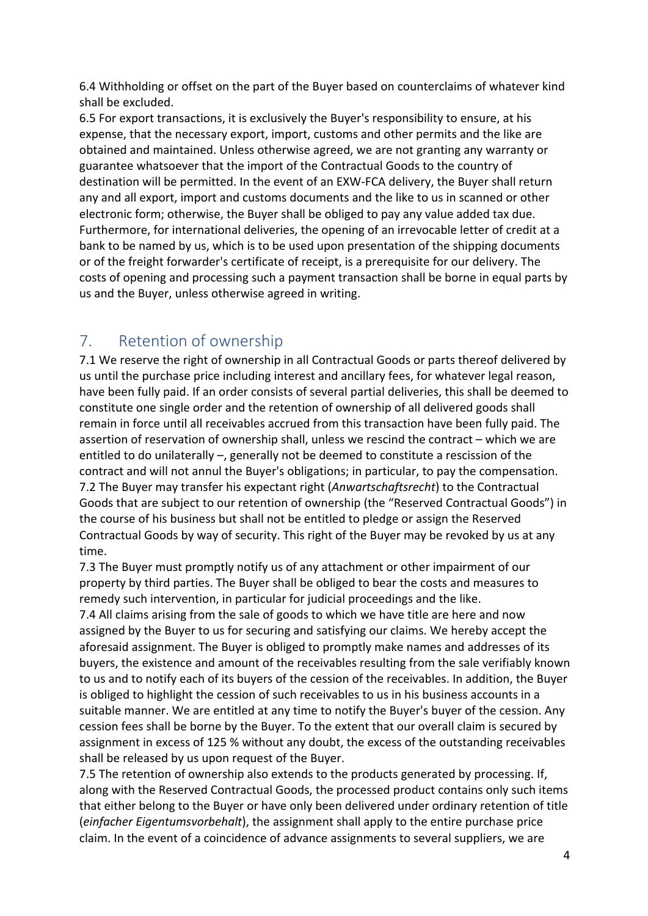6.4 Withholding or offset on the part of the Buyer based on counterclaims of whatever kind shall be excluded.

6.5 For export transactions, it is exclusively the Buyer's responsibility to ensure, at his expense, that the necessary export, import, customs and other permits and the like are obtained and maintained. Unless otherwise agreed, we are not granting any warranty or guarantee whatsoever that the import of the Contractual Goods to the country of destination will be permitted. In the event of an EXW-FCA delivery, the Buyer shall return any and all export, import and customs documents and the like to us in scanned or other electronic form; otherwise, the Buyer shall be obliged to pay any value added tax due. Furthermore, for international deliveries, the opening of an irrevocable letter of credit at a bank to be named by us, which is to be used upon presentation of the shipping documents or of the freight forwarder's certificate of receipt, is a prerequisite for our delivery. The costs of opening and processing such a payment transaction shall be borne in equal parts by us and the Buyer, unless otherwise agreed in writing.

# 7. Retention of ownership

7.1 We reserve the right of ownership in all Contractual Goods or parts thereof delivered by us until the purchase price including interest and ancillary fees, for whatever legal reason, have been fully paid. If an order consists of several partial deliveries, this shall be deemed to constitute one single order and the retention of ownership of all delivered goods shall remain in force until all receivables accrued from this transaction have been fully paid. The assertion of reservation of ownership shall, unless we rescind the contract – which we are entitled to do unilaterally –, generally not be deemed to constitute a rescission of the contract and will not annul the Buyer's obligations; in particular, to pay the compensation. 7.2 The Buyer may transfer his expectant right (*Anwartschaftsrecht*) to the Contractual Goods that are subject to our retention of ownership (the "Reserved Contractual Goods") in the course of his business but shall not be entitled to pledge or assign the Reserved Contractual Goods by way of security. This right of the Buyer may be revoked by us at any time.

7.3 The Buyer must promptly notify us of any attachment or other impairment of our property by third parties. The Buyer shall be obliged to bear the costs and measures to remedy such intervention, in particular for judicial proceedings and the like.

7.4 All claims arising from the sale of goods to which we have title are here and now assigned by the Buyer to us for securing and satisfying our claims. We hereby accept the aforesaid assignment. The Buyer is obliged to promptly make names and addresses of its buyers, the existence and amount of the receivables resulting from the sale verifiably known to us and to notify each of its buyers of the cession of the receivables. In addition, the Buyer is obliged to highlight the cession of such receivables to us in his business accounts in a suitable manner. We are entitled at any time to notify the Buyer's buyer of the cession. Any cession fees shall be borne by the Buyer. To the extent that our overall claim is secured by assignment in excess of 125 % without any doubt, the excess of the outstanding receivables shall be released by us upon request of the Buyer.

7.5 The retention of ownership also extends to the products generated by processing. If, along with the Reserved Contractual Goods, the processed product contains only such items that either belong to the Buyer or have only been delivered under ordinary retention of title (*einfacher Eigentumsvorbehalt*), the assignment shall apply to the entire purchase price claim. In the event of a coincidence of advance assignments to several suppliers, we are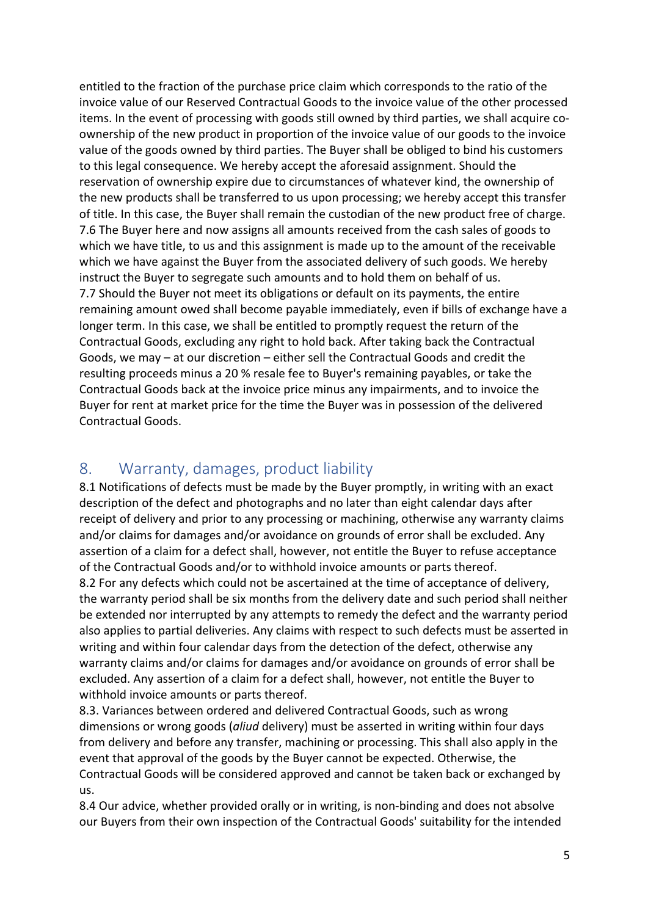entitled to the fraction of the purchase price claim which corresponds to the ratio of the invoice value of our Reserved Contractual Goods to the invoice value of the other processed items. In the event of processing with goods still owned by third parties, we shall acquire coownership of the new product in proportion of the invoice value of our goods to the invoice value of the goods owned by third parties. The Buyer shall be obliged to bind his customers to this legal consequence. We hereby accept the aforesaid assignment. Should the reservation of ownership expire due to circumstances of whatever kind, the ownership of the new products shall be transferred to us upon processing; we hereby accept this transfer of title. In this case, the Buyer shall remain the custodian of the new product free of charge. 7.6 The Buyer here and now assigns all amounts received from the cash sales of goods to which we have title, to us and this assignment is made up to the amount of the receivable which we have against the Buyer from the associated delivery of such goods. We hereby instruct the Buyer to segregate such amounts and to hold them on behalf of us. 7.7 Should the Buyer not meet its obligations or default on its payments, the entire remaining amount owed shall become payable immediately, even if bills of exchange have a longer term. In this case, we shall be entitled to promptly request the return of the Contractual Goods, excluding any right to hold back. After taking back the Contractual Goods, we may – at our discretion – either sell the Contractual Goods and credit the resulting proceeds minus a 20 % resale fee to Buyer's remaining payables, or take the Contractual Goods back at the invoice price minus any impairments, and to invoice the Buyer for rent at market price for the time the Buyer was in possession of the delivered Contractual Goods.

#### 8. Warranty, damages, product liability

8.1 Notifications of defects must be made by the Buyer promptly, in writing with an exact description of the defect and photographs and no later than eight calendar days after receipt of delivery and prior to any processing or machining, otherwise any warranty claims and/or claims for damages and/or avoidance on grounds of error shall be excluded. Any assertion of a claim for a defect shall, however, not entitle the Buyer to refuse acceptance of the Contractual Goods and/or to withhold invoice amounts or parts thereof.

8.2 For any defects which could not be ascertained at the time of acceptance of delivery, the warranty period shall be six months from the delivery date and such period shall neither be extended nor interrupted by any attempts to remedy the defect and the warranty period also applies to partial deliveries. Any claims with respect to such defects must be asserted in writing and within four calendar days from the detection of the defect, otherwise any warranty claims and/or claims for damages and/or avoidance on grounds of error shall be excluded. Any assertion of a claim for a defect shall, however, not entitle the Buyer to withhold invoice amounts or parts thereof.

8.3. Variances between ordered and delivered Contractual Goods, such as wrong dimensions or wrong goods (*aliud* delivery) must be asserted in writing within four days from delivery and before any transfer, machining or processing. This shall also apply in the event that approval of the goods by the Buyer cannot be expected. Otherwise, the Contractual Goods will be considered approved and cannot be taken back or exchanged by us.

8.4 Our advice, whether provided orally or in writing, is non-binding and does not absolve our Buyers from their own inspection of the Contractual Goods' suitability for the intended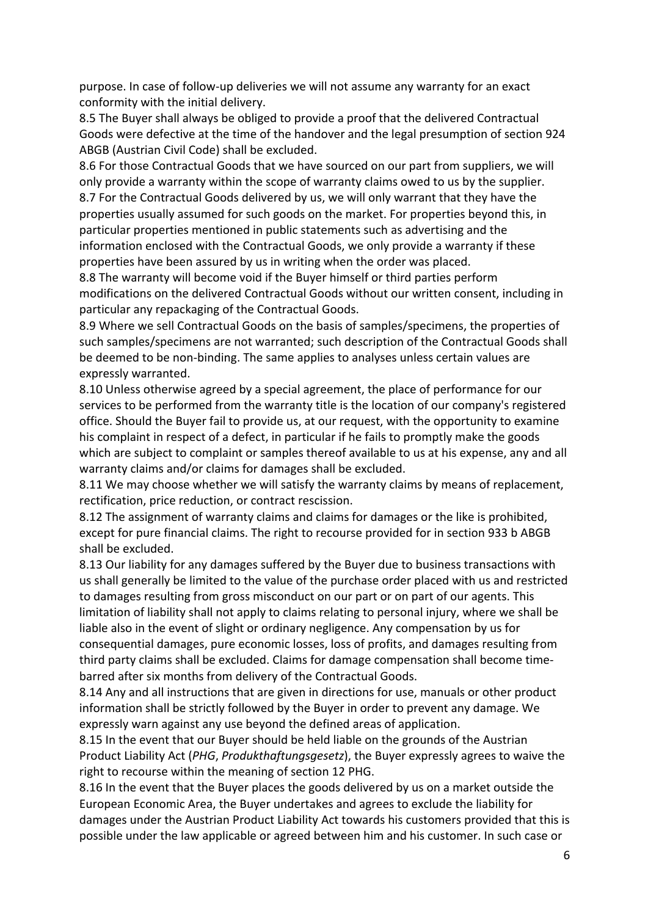purpose. In case of follow-up deliveries we will not assume any warranty for an exact conformity with the initial delivery.

8.5 The Buyer shall always be obliged to provide a proof that the delivered Contractual Goods were defective at the time of the handover and the legal presumption of section 924 ABGB (Austrian Civil Code) shall be excluded.

8.6 For those Contractual Goods that we have sourced on our part from suppliers, we will only provide a warranty within the scope of warranty claims owed to us by the supplier. 8.7 For the Contractual Goods delivered by us, we will only warrant that they have the properties usually assumed for such goods on the market. For properties beyond this, in particular properties mentioned in public statements such as advertising and the information enclosed with the Contractual Goods, we only provide a warranty if these properties have been assured by us in writing when the order was placed.

8.8 The warranty will become void if the Buyer himself or third parties perform modifications on the delivered Contractual Goods without our written consent, including in particular any repackaging of the Contractual Goods.

8.9 Where we sell Contractual Goods on the basis of samples/specimens, the properties of such samples/specimens are not warranted; such description of the Contractual Goods shall be deemed to be non-binding. The same applies to analyses unless certain values are expressly warranted.

8.10 Unless otherwise agreed by a special agreement, the place of performance for our services to be performed from the warranty title is the location of our company's registered office. Should the Buyer fail to provide us, at our request, with the opportunity to examine his complaint in respect of a defect, in particular if he fails to promptly make the goods which are subject to complaint or samples thereof available to us at his expense, any and all warranty claims and/or claims for damages shall be excluded.

8.11 We may choose whether we will satisfy the warranty claims by means of replacement, rectification, price reduction, or contract rescission.

8.12 The assignment of warranty claims and claims for damages or the like is prohibited, except for pure financial claims. The right to recourse provided for in section 933 b ABGB shall be excluded.

8.13 Our liability for any damages suffered by the Buyer due to business transactions with us shall generally be limited to the value of the purchase order placed with us and restricted to damages resulting from gross misconduct on our part or on part of our agents. This limitation of liability shall not apply to claims relating to personal injury, where we shall be liable also in the event of slight or ordinary negligence. Any compensation by us for consequential damages, pure economic losses, loss of profits, and damages resulting from third party claims shall be excluded. Claims for damage compensation shall become timebarred after six months from delivery of the Contractual Goods.

8.14 Any and all instructions that are given in directions for use, manuals or other product information shall be strictly followed by the Buyer in order to prevent any damage. We expressly warn against any use beyond the defined areas of application.

8.15 In the event that our Buyer should be held liable on the grounds of the Austrian Product Liability Act (*PHG*, *Produkthaftungsgesetz*), the Buyer expressly agrees to waive the right to recourse within the meaning of section 12 PHG.

8.16 In the event that the Buyer places the goods delivered by us on a market outside the European Economic Area, the Buyer undertakes and agrees to exclude the liability for damages under the Austrian Product Liability Act towards his customers provided that this is possible under the law applicable or agreed between him and his customer. In such case or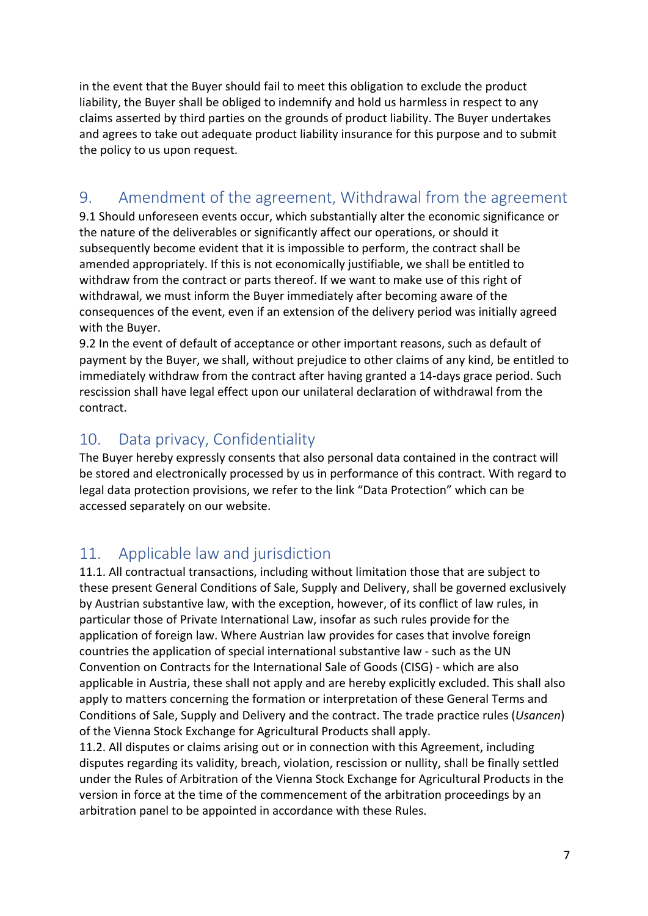in the event that the Buyer should fail to meet this obligation to exclude the product liability, the Buyer shall be obliged to indemnify and hold us harmless in respect to any claims asserted by third parties on the grounds of product liability. The Buyer undertakes and agrees to take out adequate product liability insurance for this purpose and to submit the policy to us upon request.

# 9. Amendment of the agreement, Withdrawal from the agreement

9.1 Should unforeseen events occur, which substantially alter the economic significance or the nature of the deliverables or significantly affect our operations, or should it subsequently become evident that it is impossible to perform, the contract shall be amended appropriately. If this is not economically justifiable, we shall be entitled to withdraw from the contract or parts thereof. If we want to make use of this right of withdrawal, we must inform the Buyer immediately after becoming aware of the consequences of the event, even if an extension of the delivery period was initially agreed with the Buyer.

9.2 In the event of default of acceptance or other important reasons, such as default of payment by the Buyer, we shall, without prejudice to other claims of any kind, be entitled to immediately withdraw from the contract after having granted a 14-days grace period. Such rescission shall have legal effect upon our unilateral declaration of withdrawal from the contract.

# 10. Data privacy, Confidentiality

The Buyer hereby expressly consents that also personal data contained in the contract will be stored and electronically processed by us in performance of this contract. With regard to legal data protection provisions, we refer to the link "Data Protection" which can be accessed separately on our website.

# 11. Applicable law and jurisdiction

11.1. All contractual transactions, including without limitation those that are subject to these present General Conditions of Sale, Supply and Delivery, shall be governed exclusively by Austrian substantive law, with the exception, however, of its conflict of law rules, in particular those of Private International Law, insofar as such rules provide for the application of foreign law. Where Austrian law provides for cases that involve foreign countries the application of special international substantive law - such as the UN Convention on Contracts for the International Sale of Goods (CISG) - which are also applicable in Austria, these shall not apply and are hereby explicitly excluded. This shall also apply to matters concerning the formation or interpretation of these General Terms and Conditions of Sale, Supply and Delivery and the contract. The trade practice rules (*Usancen*) of the Vienna Stock Exchange for Agricultural Products shall apply.

11.2. All disputes or claims arising out or in connection with this Agreement, including disputes regarding its validity, breach, violation, rescission or nullity, shall be finally settled under the Rules of Arbitration of the Vienna Stock Exchange for Agricultural Products in the version in force at the time of the commencement of the arbitration proceedings by an arbitration panel to be appointed in accordance with these Rules.